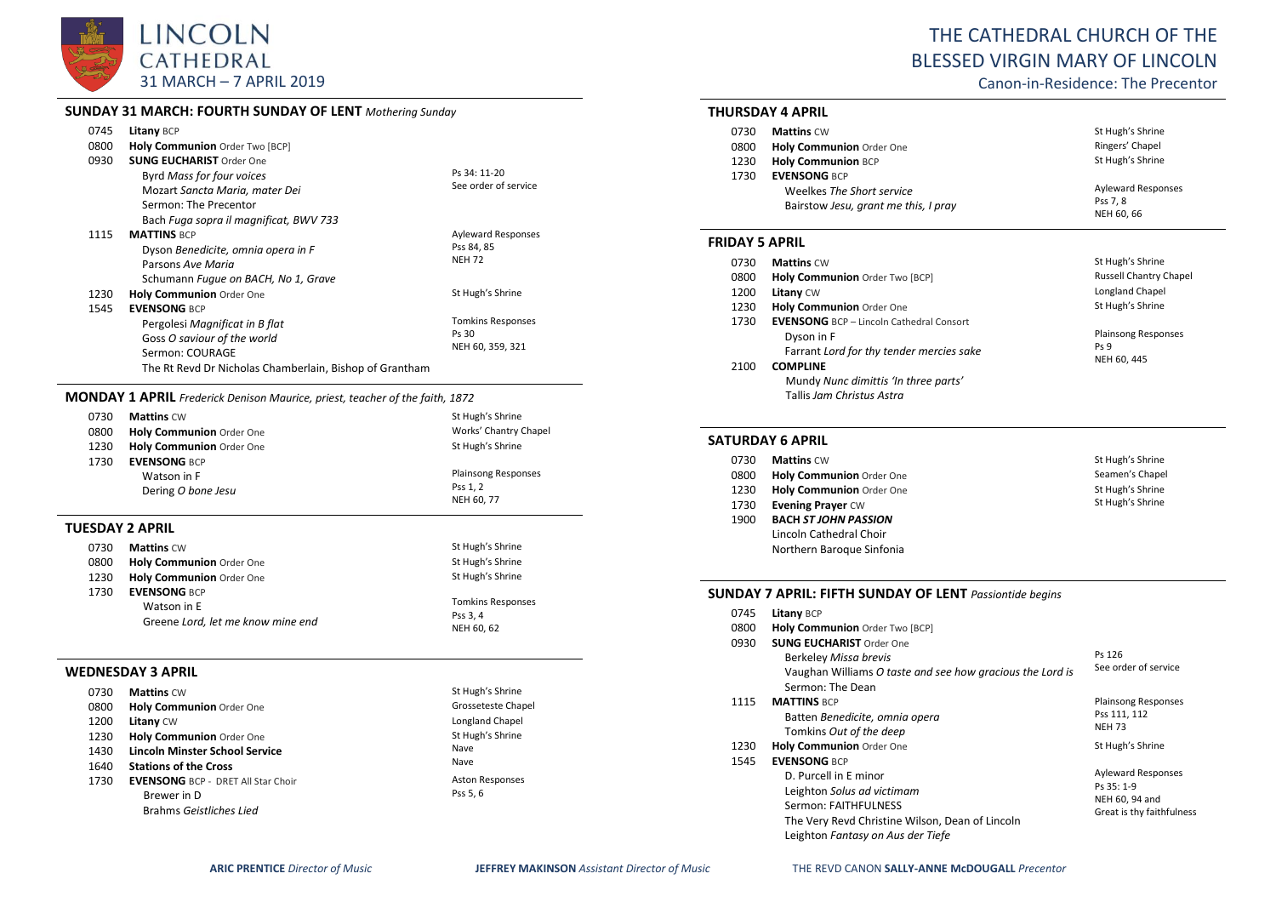

# **SUNDAY 31 MARCH: FOURTH SUNDAY OF LENT** *Mothering Sunday*

| 0745 | Litany BCP                                              |                           |
|------|---------------------------------------------------------|---------------------------|
| 0800 | Holy Communion Order Two [BCP]                          |                           |
| 0930 | <b>SUNG EUCHARIST Order One</b>                         |                           |
|      | Byrd Mass for four voices                               | Ps 34: 11-20              |
|      | Mozart Sancta Maria, mater Dei                          | See order of service      |
|      | Sermon: The Precentor                                   |                           |
|      | Bach Fuga sopra il magnificat, BWV 733                  |                           |
| 1115 | <b>MATTINS BCP</b>                                      | <b>Ayleward Responses</b> |
|      | Dyson Benedicite, omnia opera in F                      | Pss 84, 85                |
|      | Parsons Ave Maria                                       | <b>NEH 72</b>             |
|      | Schumann Fugue on BACH, No 1, Grave                     |                           |
| 1230 | <b>Holy Communion Order One</b>                         | St Hugh's Shrine          |
| 1545 | <b>EVENSONG BCP</b>                                     |                           |
|      | Pergolesi Magnificat in B flat                          | <b>Tomkins Responses</b>  |
|      | Goss O saviour of the world                             | Ps 30                     |
|      | Sermon: COURAGE                                         | NEH 60, 359, 321          |
|      | The Rt Revd Dr Nicholas Chamberlain. Bishop of Grantham |                           |

#### **MONDAY 1 APRIL** *Frederick Denison Maurice, priest, teacher of the faith, 1872*

| 0730 | <b>Mattins CW</b>               | St Hugh's Shrine           |
|------|---------------------------------|----------------------------|
| 0800 | <b>Holy Communion Order One</b> | Works' Chantry Chapel      |
| 1230 | <b>Holy Communion Order One</b> | St Hugh's Shrine           |
| 1730 | <b>EVENSONG BCP</b>             |                            |
|      | Watson in F                     | <b>Plainsong Responses</b> |
|      | Dering O bone Jesu              | Pss 1.2                    |
|      |                                 | NEH 60, 77                 |

## **TUESDAY 2 APRIL**

| 0730 | <b>Mattins CW</b>                 | St Hugh's Shrine         |
|------|-----------------------------------|--------------------------|
| 0800 | <b>Holy Communion Order One</b>   | St Hugh's Shrine         |
| 1230 | Holy Communion Order One          | St Hugh's Shrine         |
| 1730 | <b>EVENSONG BCP</b>               |                          |
|      | Watson in E                       | <b>Tomkins Responses</b> |
|      | Greene Lord, let me know mine end | Pss 3, 4                 |
|      |                                   | NEH 60, 62               |

#### **WEDNESDAY 3 APRIL**

| 0730 | <b>Mattins CW</b>                         | St Hugh's Shrine       |
|------|-------------------------------------------|------------------------|
| 0800 | <b>Holy Communion Order One</b>           | Grosseteste Chapel     |
| 1200 | <b>Litany CW</b>                          | Longland Chapel        |
| 1230 | Holy Communion Order One                  | St Hugh's Shrine       |
| 1430 | <b>Lincoln Minster School Service</b>     | Nave                   |
| 1640 | <b>Stations of the Cross</b>              | Nave                   |
| 1730 | <b>EVENSONG BCP - DRET All Star Choir</b> | <b>Aston Responses</b> |
|      | Brewer in D                               | Pss 5, 6               |
|      | Brahms Geistliches Lied                   |                        |

# THE CATHEDRAL CHURCH OF THE BLESSED VIRGIN MARY OF LINCOLN

Canon-in-Residence: The Precentor

### **THURSDAY 4 APRIL**

| 0730 | <b>Mattins CW</b>                    | St Hugh's Shrine          |
|------|--------------------------------------|---------------------------|
| 0800 | Holy Communion Order One             | Ringers' Chapel           |
| 1230 | <b>Holy Communion BCP</b>            | St Hugh's Shrine          |
| 1730 | <b>EVENSONG BCP</b>                  |                           |
|      | Weelkes The Short service            | <b>Ayleward Responses</b> |
|      | Bairstow Jesu, grant me this, I pray | Pss 7, 8                  |
|      |                                      | NEH 60, 66                |

#### **FRIDAY 5 APRIL**

| 0730 | <b>Mattins CW</b>                               | St Hugh's Shrine              |
|------|-------------------------------------------------|-------------------------------|
| 0800 | Holy Communion Order Two [BCP]                  | <b>Russell Chantry Chapel</b> |
| 1200 | <b>Litany CW</b>                                | Longland Chapel               |
| 1230 | Holy Communion Order One                        | St Hugh's Shrine              |
| 1730 | <b>EVENSONG</b> BCP - Lincoln Cathedral Consort |                               |
|      | Dyson in F                                      | <b>Plainsong Responses</b>    |
|      | Farrant Lord for thy tender mercies sake        | Ps <sub>9</sub>               |
| 2100 | <b>COMPLINE</b>                                 | NEH 60, 445                   |
|      | Mundy Nunc dimittis 'In three parts'            |                               |
|      | Tallis Jam Christus Astra                       |                               |

# **SATURDAY 6 APRIL**

| 0730 | <b>Mattins CW</b>           | St Hugh's Shrine |
|------|-----------------------------|------------------|
| 0800 | Holy Communion Order One    | Seamen's Chapel  |
| 1230 | Holy Communion Order One    | St Hugh's Shrine |
| 1730 | <b>Evening Prayer CW</b>    | St Hugh's Shrine |
| 1900 | <b>BACH ST JOHN PASSION</b> |                  |
|      | Lincoln Cathedral Choir     |                  |
|      | Northern Baroque Sinfonia   |                  |

# **SUNDAY 7 APRIL: FIFTH SUNDAY OF LENT** *Passiontide begins*

| 0745 | <b>Litany BCP</b>                                                                                                                                                                          |                                                                                        |
|------|--------------------------------------------------------------------------------------------------------------------------------------------------------------------------------------------|----------------------------------------------------------------------------------------|
| 0800 | Holy Communion Order Two [BCP]                                                                                                                                                             |                                                                                        |
| 0930 | <b>SUNG EUCHARIST Order One</b><br>Berkeley Missa brevis<br>Vaughan Williams O taste and see how gracious the Lord is<br>Sermon: The Dean                                                  | Ps 126<br>See order of service                                                         |
| 1115 | <b>MATTINS BCP</b><br>Batten Benedicite, omnia opera<br>Tomkins Out of the deep                                                                                                            | <b>Plainsong Responses</b><br>Pss 111, 112<br><b>NEH 73</b>                            |
| 1230 | <b>Holy Communion Order One</b>                                                                                                                                                            | St Hugh's Shrine                                                                       |
| 1545 | <b>EVENSONG BCP</b><br>D. Purcell in E minor<br>Leighton Solus ad victimam<br>Sermon: FAITHFULNESS<br>The Very Revd Christine Wilson, Dean of Lincoln<br>Leighton Fantasy on Aus der Tiefe | <b>Ayleward Responses</b><br>Ps 35: 1-9<br>NEH 60, 94 and<br>Great is thy faithfulness |